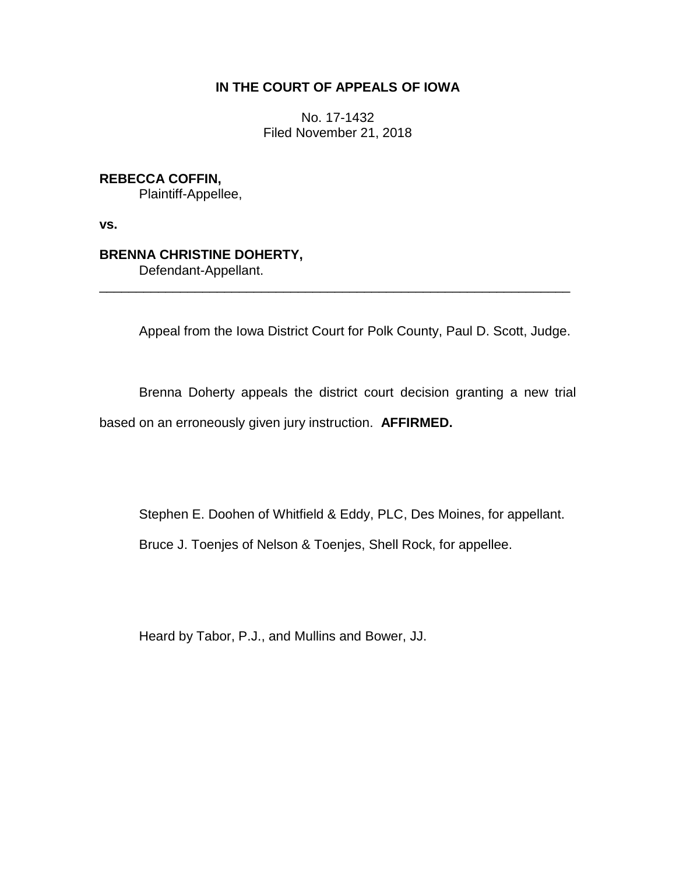# **IN THE COURT OF APPEALS OF IOWA**

No. 17-1432 Filed November 21, 2018

# **REBECCA COFFIN,**

Plaintiff-Appellee,

**vs.**

## **BRENNA CHRISTINE DOHERTY,**

Defendant-Appellant.

Appeal from the Iowa District Court for Polk County, Paul D. Scott, Judge.

Brenna Doherty appeals the district court decision granting a new trial based on an erroneously given jury instruction. **AFFIRMED.**

\_\_\_\_\_\_\_\_\_\_\_\_\_\_\_\_\_\_\_\_\_\_\_\_\_\_\_\_\_\_\_\_\_\_\_\_\_\_\_\_\_\_\_\_\_\_\_\_\_\_\_\_\_\_\_\_\_\_\_\_\_\_\_\_

Stephen E. Doohen of Whitfield & Eddy, PLC, Des Moines, for appellant.

Bruce J. Toenjes of Nelson & Toenjes, Shell Rock, for appellee.

Heard by Tabor, P.J., and Mullins and Bower, JJ.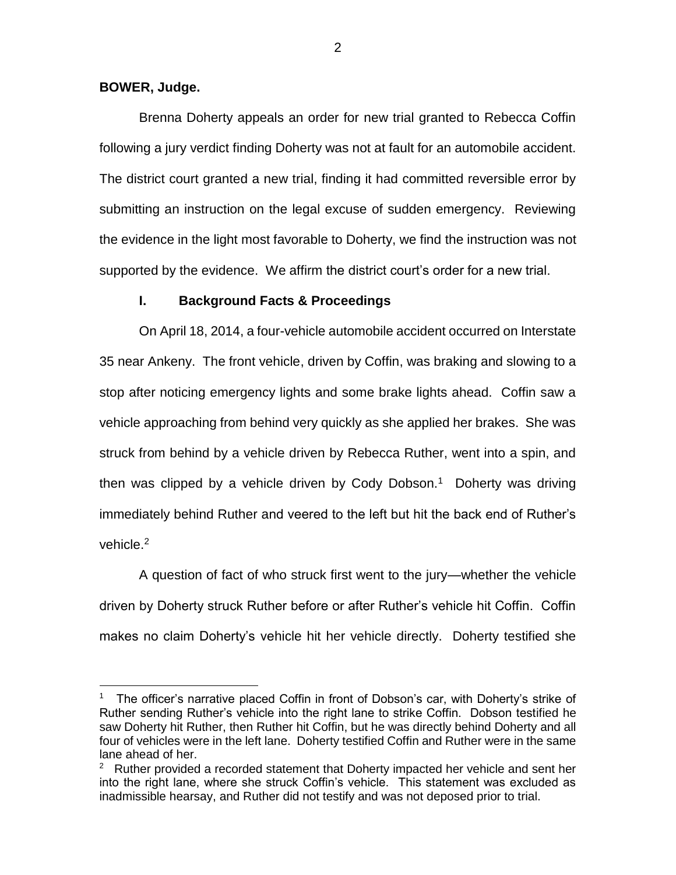## **BOWER, Judge.**

 $\overline{a}$ 

Brenna Doherty appeals an order for new trial granted to Rebecca Coffin following a jury verdict finding Doherty was not at fault for an automobile accident. The district court granted a new trial, finding it had committed reversible error by submitting an instruction on the legal excuse of sudden emergency. Reviewing the evidence in the light most favorable to Doherty, we find the instruction was not supported by the evidence. We affirm the district court's order for a new trial.

## **I. Background Facts & Proceedings**

On April 18, 2014, a four-vehicle automobile accident occurred on Interstate 35 near Ankeny. The front vehicle, driven by Coffin, was braking and slowing to a stop after noticing emergency lights and some brake lights ahead. Coffin saw a vehicle approaching from behind very quickly as she applied her brakes. She was struck from behind by a vehicle driven by Rebecca Ruther, went into a spin, and then was clipped by a vehicle driven by Cody Dobson.<sup>1</sup> Doherty was driving immediately behind Ruther and veered to the left but hit the back end of Ruther's vehicle.<sup>2</sup>

A question of fact of who struck first went to the jury—whether the vehicle driven by Doherty struck Ruther before or after Ruther's vehicle hit Coffin. Coffin makes no claim Doherty's vehicle hit her vehicle directly. Doherty testified she

2

<sup>1</sup> The officer's narrative placed Coffin in front of Dobson's car, with Doherty's strike of Ruther sending Ruther's vehicle into the right lane to strike Coffin. Dobson testified he saw Doherty hit Ruther, then Ruther hit Coffin, but he was directly behind Doherty and all four of vehicles were in the left lane. Doherty testified Coffin and Ruther were in the same lane ahead of her.

<sup>&</sup>lt;sup>2</sup> Ruther provided a recorded statement that Doherty impacted her vehicle and sent her into the right lane, where she struck Coffin's vehicle. This statement was excluded as inadmissible hearsay, and Ruther did not testify and was not deposed prior to trial.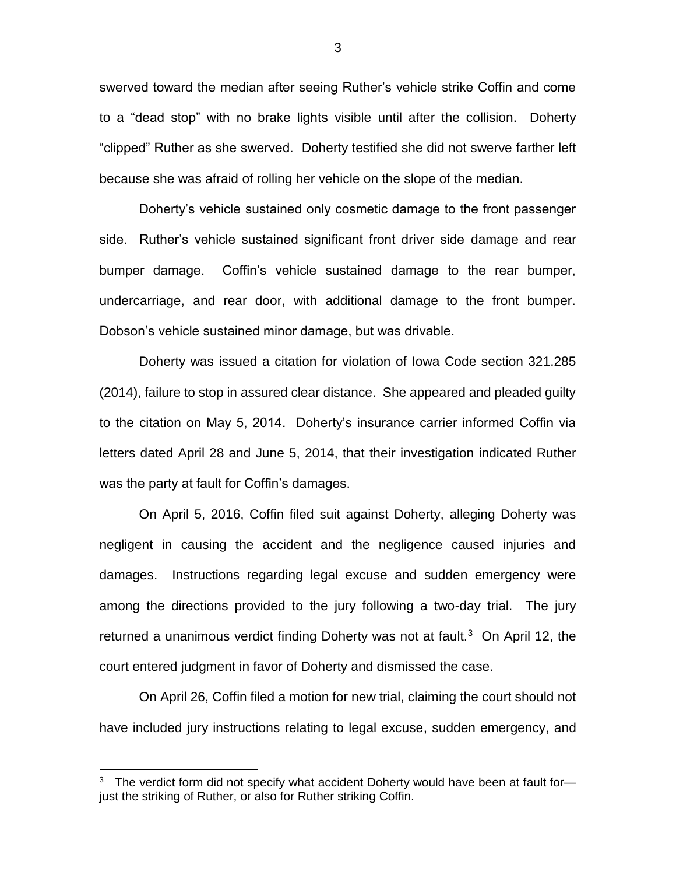swerved toward the median after seeing Ruther's vehicle strike Coffin and come to a "dead stop" with no brake lights visible until after the collision. Doherty "clipped" Ruther as she swerved. Doherty testified she did not swerve farther left because she was afraid of rolling her vehicle on the slope of the median.

Doherty's vehicle sustained only cosmetic damage to the front passenger side. Ruther's vehicle sustained significant front driver side damage and rear bumper damage. Coffin's vehicle sustained damage to the rear bumper, undercarriage, and rear door, with additional damage to the front bumper. Dobson's vehicle sustained minor damage, but was drivable.

Doherty was issued a citation for violation of Iowa Code section 321.285 (2014), failure to stop in assured clear distance. She appeared and pleaded guilty to the citation on May 5, 2014. Doherty's insurance carrier informed Coffin via letters dated April 28 and June 5, 2014, that their investigation indicated Ruther was the party at fault for Coffin's damages.

On April 5, 2016, Coffin filed suit against Doherty, alleging Doherty was negligent in causing the accident and the negligence caused injuries and damages. Instructions regarding legal excuse and sudden emergency were among the directions provided to the jury following a two-day trial. The jury returned a unanimous verdict finding Doherty was not at fault.<sup>3</sup> On April 12, the court entered judgment in favor of Doherty and dismissed the case.

On April 26, Coffin filed a motion for new trial, claiming the court should not have included jury instructions relating to legal excuse, sudden emergency, and

 $\overline{a}$ 

<sup>3</sup> The verdict form did not specify what accident Doherty would have been at fault for just the striking of Ruther, or also for Ruther striking Coffin.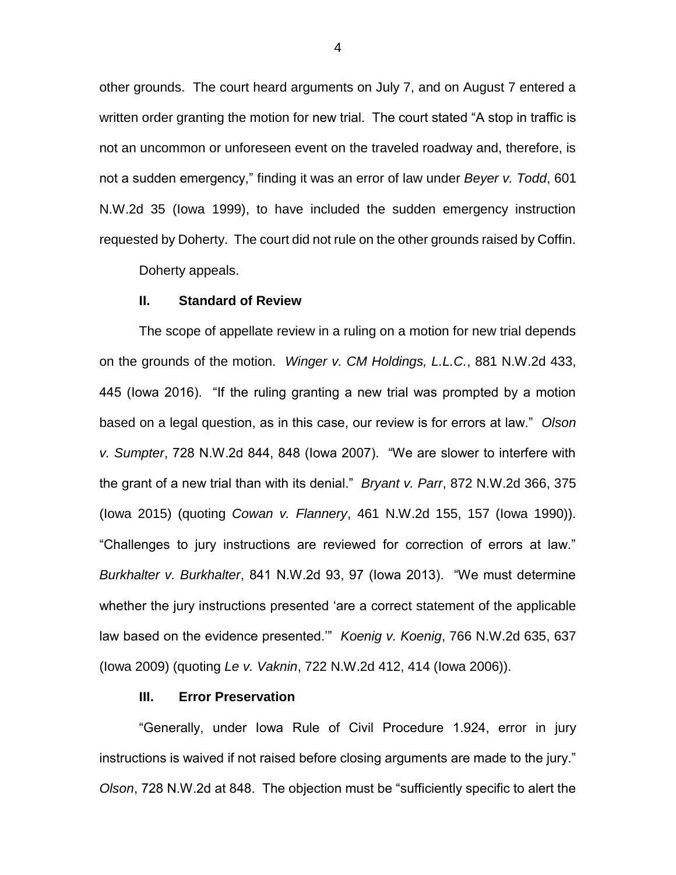other grounds. The court heard arguments on July 7, and on August 7 entered a written order granting the motion for new trial. The court stated "A stop in traffic is not an uncommon or unforeseen event on the traveled roadway and, therefore, is not a sudden emergency," finding it was an error of law under *Beyer v. Todd*, 601 N.W.2d 35 (Iowa 1999), to have included the sudden emergency instruction requested by Doherty. The court did not rule on the other grounds raised by Coffin.

Doherty appeals.

#### **II. Standard of Review**

The scope of appellate review in a ruling on a motion for new trial depends on the grounds of the motion. *Winger v. CM Holdings, L.L.C.*, 881 N.W.2d 433, 445 (Iowa 2016). "If the ruling granting a new trial was prompted by a motion based on a legal question, as in this case, our review is for errors at law." *Olson v. Sumpter*, 728 N.W.2d 844, 848 (Iowa 2007). "We are slower to interfere with the grant of a new trial than with its denial." *Bryant v. Parr*, 872 N.W.2d 366, 375 (Iowa 2015) (quoting *Cowan v. Flannery*, 461 N.W.2d 155, 157 (Iowa 1990)). "Challenges to jury instructions are reviewed for correction of errors at law." *Burkhalter v. Burkhalter*, 841 N.W.2d 93, 97 (Iowa 2013). "We must determine whether the jury instructions presented 'are a correct statement of the applicable law based on the evidence presented.'" *Koenig v. Koenig*, 766 N.W.2d 635, 637 (Iowa 2009) (quoting *Le v. Vaknin*, 722 N.W.2d 412, 414 (Iowa 2006)).

### **III. Error Preservation**

"Generally, under Iowa Rule of Civil Procedure 1.924, error in jury instructions is waived if not raised before closing arguments are made to the jury." *Olson*, 728 N.W.2d at 848. The objection must be "sufficiently specific to alert the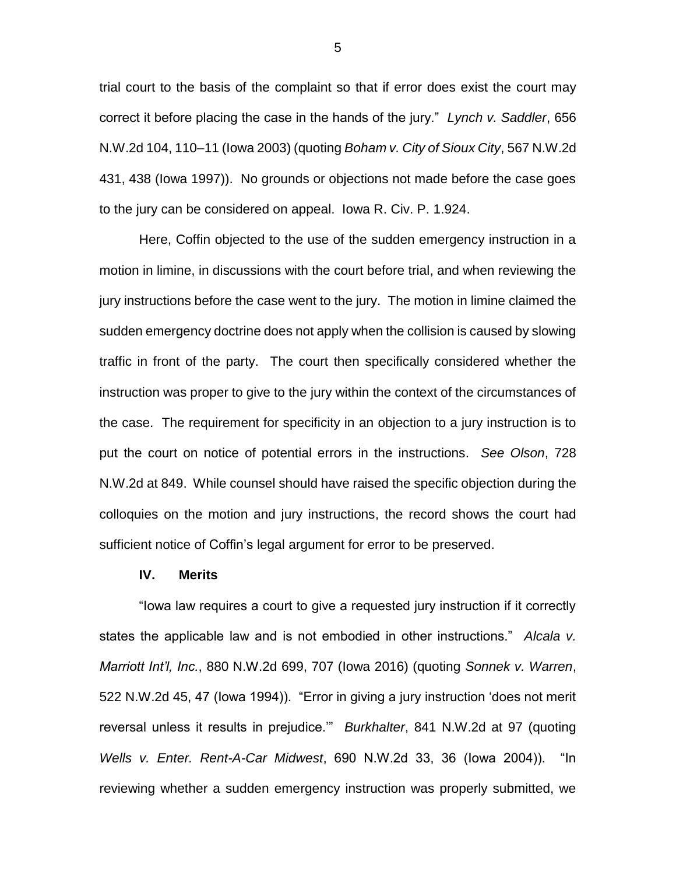trial court to the basis of the complaint so that if error does exist the court may correct it before placing the case in the hands of the jury." *Lynch v. Saddler*, 656 N.W.2d 104, 110–11 (Iowa 2003) (quoting *Boham v. City of Sioux City*, 567 N.W.2d 431, 438 (Iowa 1997)). No grounds or objections not made before the case goes to the jury can be considered on appeal. Iowa R. Civ. P. 1.924.

Here, Coffin objected to the use of the sudden emergency instruction in a motion in limine, in discussions with the court before trial, and when reviewing the jury instructions before the case went to the jury. The motion in limine claimed the sudden emergency doctrine does not apply when the collision is caused by slowing traffic in front of the party. The court then specifically considered whether the instruction was proper to give to the jury within the context of the circumstances of the case. The requirement for specificity in an objection to a jury instruction is to put the court on notice of potential errors in the instructions. *See Olson*, 728 N.W.2d at 849. While counsel should have raised the specific objection during the colloquies on the motion and jury instructions, the record shows the court had sufficient notice of Coffin's legal argument for error to be preserved.

#### **IV. Merits**

"Iowa law requires a court to give a requested jury instruction if it correctly states the applicable law and is not embodied in other instructions." *Alcala v. Marriott Int'l, Inc.*, 880 N.W.2d 699, 707 (Iowa 2016) (quoting *Sonnek v. Warren*, 522 N.W.2d 45, 47 (Iowa 1994)). "Error in giving a jury instruction 'does not merit reversal unless it results in prejudice.'" *Burkhalter*, 841 N.W.2d at 97 (quoting *Wells v. Enter. Rent-A-Car Midwest*, 690 N.W.2d 33, 36 (Iowa 2004)). "In reviewing whether a sudden emergency instruction was properly submitted, we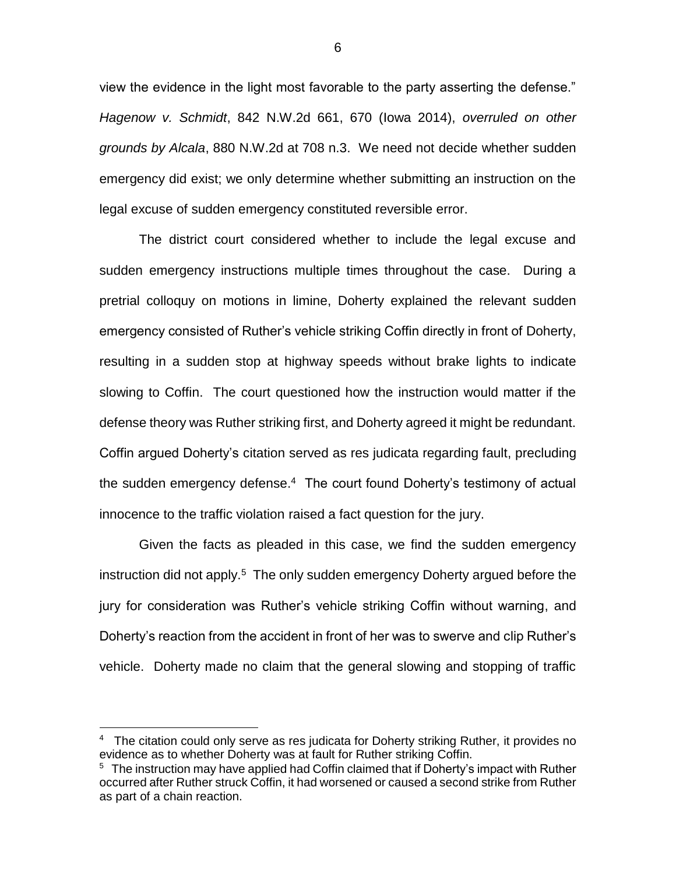view the evidence in the light most favorable to the party asserting the defense." *Hagenow v. Schmidt*, 842 N.W.2d 661, 670 (Iowa 2014), *overruled on other grounds by Alcala*, 880 N.W.2d at 708 n.3. We need not decide whether sudden emergency did exist; we only determine whether submitting an instruction on the legal excuse of sudden emergency constituted reversible error.

The district court considered whether to include the legal excuse and sudden emergency instructions multiple times throughout the case. During a pretrial colloquy on motions in limine, Doherty explained the relevant sudden emergency consisted of Ruther's vehicle striking Coffin directly in front of Doherty, resulting in a sudden stop at highway speeds without brake lights to indicate slowing to Coffin. The court questioned how the instruction would matter if the defense theory was Ruther striking first, and Doherty agreed it might be redundant. Coffin argued Doherty's citation served as res judicata regarding fault, precluding the sudden emergency defense.<sup>4</sup> The court found Doherty's testimony of actual innocence to the traffic violation raised a fact question for the jury.

Given the facts as pleaded in this case, we find the sudden emergency instruction did not apply.<sup>5</sup> The only sudden emergency Doherty argued before the jury for consideration was Ruther's vehicle striking Coffin without warning, and Doherty's reaction from the accident in front of her was to swerve and clip Ruther's vehicle. Doherty made no claim that the general slowing and stopping of traffic

 $\overline{a}$ 

<sup>&</sup>lt;sup>4</sup> The citation could only serve as res judicata for Doherty striking Ruther, it provides no evidence as to whether Doherty was at fault for Ruther striking Coffin.

 $5$  The instruction may have applied had Coffin claimed that if Doherty's impact with Ruther occurred after Ruther struck Coffin, it had worsened or caused a second strike from Ruther as part of a chain reaction.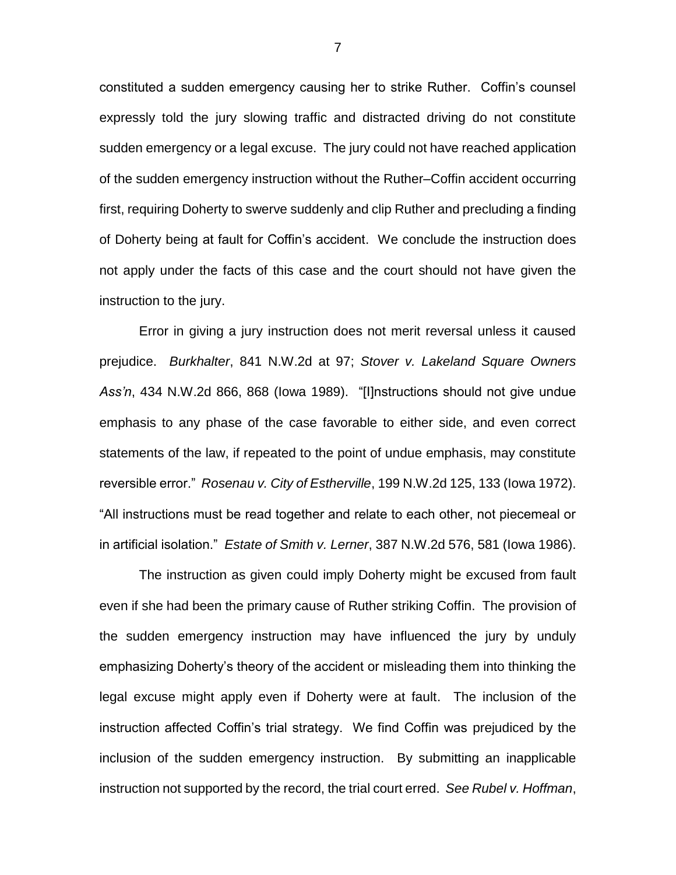constituted a sudden emergency causing her to strike Ruther. Coffin's counsel expressly told the jury slowing traffic and distracted driving do not constitute sudden emergency or a legal excuse. The jury could not have reached application of the sudden emergency instruction without the Ruther–Coffin accident occurring first, requiring Doherty to swerve suddenly and clip Ruther and precluding a finding of Doherty being at fault for Coffin's accident. We conclude the instruction does not apply under the facts of this case and the court should not have given the instruction to the jury.

Error in giving a jury instruction does not merit reversal unless it caused prejudice. *Burkhalter*, 841 N.W.2d at 97; *Stover v. Lakeland Square Owners Ass'n*, 434 N.W.2d 866, 868 (Iowa 1989). "[I]nstructions should not give undue emphasis to any phase of the case favorable to either side, and even correct statements of the law, if repeated to the point of undue emphasis, may constitute reversible error." *Rosenau v. City of Estherville*, 199 N.W.2d 125, 133 (Iowa 1972). "All instructions must be read together and relate to each other, not piecemeal or in artificial isolation." *Estate of Smith v. Lerner*, 387 N.W.2d 576, 581 (Iowa 1986).

The instruction as given could imply Doherty might be excused from fault even if she had been the primary cause of Ruther striking Coffin. The provision of the sudden emergency instruction may have influenced the jury by unduly emphasizing Doherty's theory of the accident or misleading them into thinking the legal excuse might apply even if Doherty were at fault. The inclusion of the instruction affected Coffin's trial strategy. We find Coffin was prejudiced by the inclusion of the sudden emergency instruction. By submitting an inapplicable instruction not supported by the record, the trial court erred. *See Rubel v. Hoffman*,